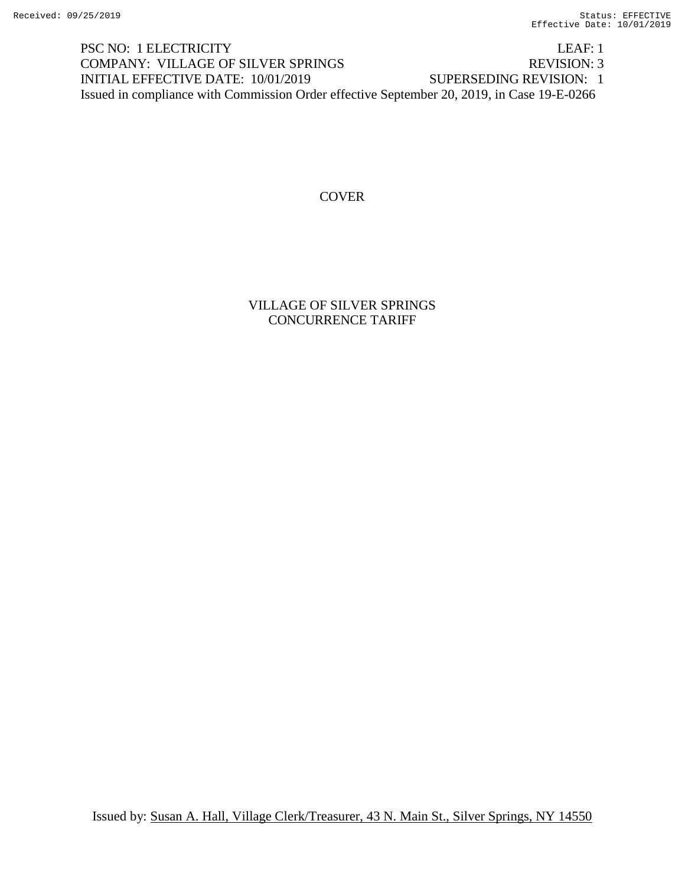PSC NO: 1 ELECTRICITY LEAF: 1 COMPANY: VILLAGE OF SILVER SPRINGS REVISION: 3 INITIAL EFFECTIVE DATE: 10/01/2019 SUPERSEDING REVISION: 1 Issued in compliance with Commission Order effective September 20, 2019, in Case 19-E-0266

#### **COVER**

VILLAGE OF SILVER SPRINGS CONCURRENCE TARIFF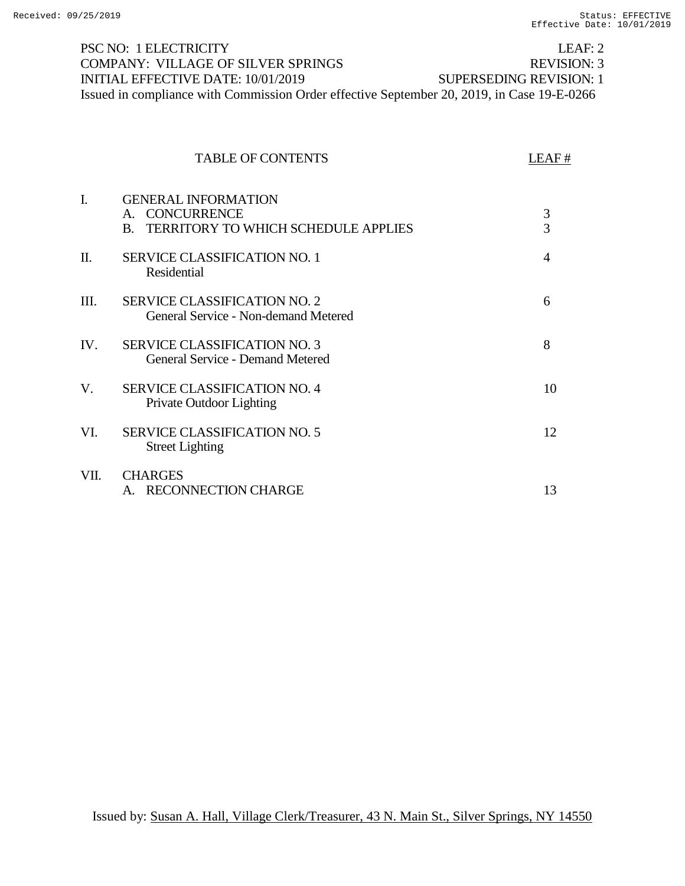| <b>PSC NO: 1 ELECTRICITY</b>                                                               | LEAF: $2$               |
|--------------------------------------------------------------------------------------------|-------------------------|
| <b>COMPANY: VILLAGE OF SILVER SPRINGS</b>                                                  | REVISION: 3             |
| INITIAL EFFECTIVE DATE: 10/01/2019                                                         | SUPERSEDING REVISION: 1 |
| Issued in compliance with Commission Order effective September 20, 2019, in Case 19-E-0266 |                         |

# TABLE OF CONTENTS LEAF #

| I.   | <b>GENERAL INFORMATION</b><br><b>CONCURRENCE</b><br>$\mathsf{A}$ .<br><b>TERRITORY TO WHICH SCHEDULE APPLIES</b><br>$\mathbf{B}$ | 3<br>$\overline{3}$ |
|------|----------------------------------------------------------------------------------------------------------------------------------|---------------------|
| Π.   | <b>SERVICE CLASSIFICATION NO. 1</b><br>Residential                                                                               | $\overline{4}$      |
| III. | <b>SERVICE CLASSIFICATION NO. 2</b><br>General Service - Non-demand Metered                                                      | 6                   |
| IV.  | <b>SERVICE CLASSIFICATION NO. 3</b><br>General Service - Demand Metered                                                          | 8                   |
| V.   | <b>SERVICE CLASSIFICATION NO. 4</b><br>Private Outdoor Lighting                                                                  | 10                  |
| VI.  | <b>SERVICE CLASSIFICATION NO. 5</b><br><b>Street Lighting</b>                                                                    | 12                  |
| VII. | <b>CHARGES</b><br><b>RECONNECTION CHARGE</b>                                                                                     | 13                  |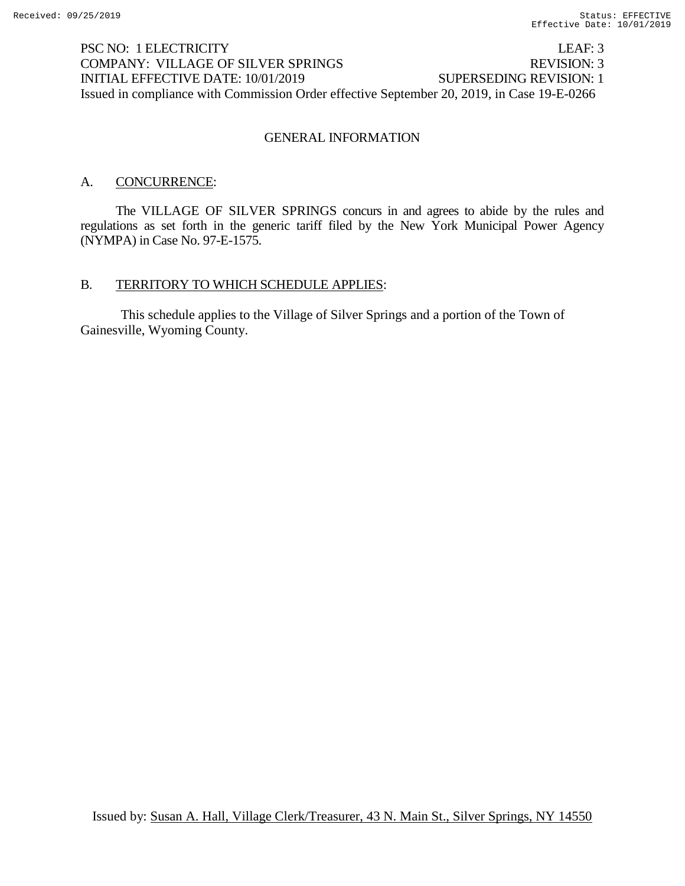# PSC NO: 1 ELECTRICITY LEAF: 3 COMPANY: VILLAGE OF SILVER SPRINGS REVISION: 3 INITIAL EFFECTIVE DATE: 10/01/2019 SUPERSEDING REVISION: 1 Issued in compliance with Commission Order effective September 20, 2019, in Case 19-E-0266

#### GENERAL INFORMATION

## A. CONCURRENCE:

The VILLAGE OF SILVER SPRINGS concurs in and agrees to abide by the rules and regulations as set forth in the generic tariff filed by the New York Municipal Power Agency (NYMPA) in Case No. 97-E-1575.

#### B. TERRITORY TO WHICH SCHEDULE APPLIES:

This schedule applies to the Village of Silver Springs and a portion of the Town of Gainesville, Wyoming County.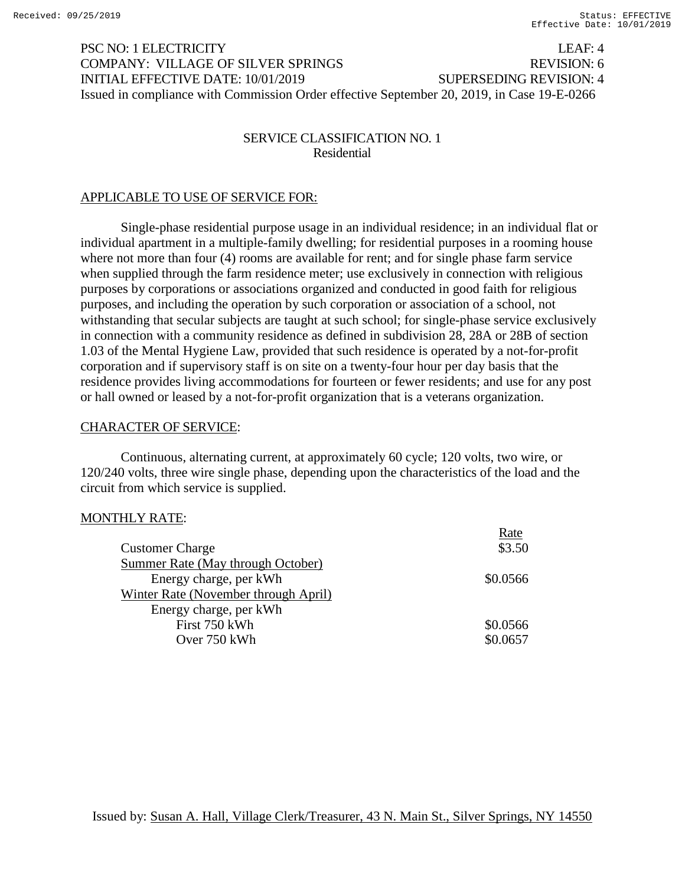PSC NO: 1 ELECTRICITY LEAF: 4 COMPANY: VILLAGE OF SILVER SPRINGS REVISION: 6 INITIAL EFFECTIVE DATE: 10/01/2019 SUPERSEDING REVISION: 4 Issued in compliance with Commission Order effective September 20, 2019, in Case 19-E-0266

## SERVICE CLASSIFICATION NO. 1 Residential

## APPLICABLE TO USE OF SERVICE FOR:

Single-phase residential purpose usage in an individual residence; in an individual flat or individual apartment in a multiple-family dwelling; for residential purposes in a rooming house where not more than four (4) rooms are available for rent; and for single phase farm service when supplied through the farm residence meter; use exclusively in connection with religious purposes by corporations or associations organized and conducted in good faith for religious purposes, and including the operation by such corporation or association of a school, not withstanding that secular subjects are taught at such school; for single-phase service exclusively in connection with a community residence as defined in subdivision 28, 28A or 28B of section 1.03 of the Mental Hygiene Law, provided that such residence is operated by a not-for-profit corporation and if supervisory staff is on site on a twenty-four hour per day basis that the residence provides living accommodations for fourteen or fewer residents; and use for any post or hall owned or leased by a not-for-profit organization that is a veterans organization.

#### CHARACTER OF SERVICE:

Continuous, alternating current, at approximately 60 cycle; 120 volts, two wire, or 120/240 volts, three wire single phase, depending upon the characteristics of the load and the circuit from which service is supplied.

#### MONTHLY RATE:

|                                      | Rate     |
|--------------------------------------|----------|
| <b>Customer Charge</b>               | \$3.50   |
| Summer Rate (May through October)    |          |
| Energy charge, per kWh               | \$0.0566 |
| Winter Rate (November through April) |          |
| Energy charge, per kWh               |          |
| First 750 kWh                        | \$0.0566 |
| Over 750 kWh                         | \$0.0657 |
|                                      |          |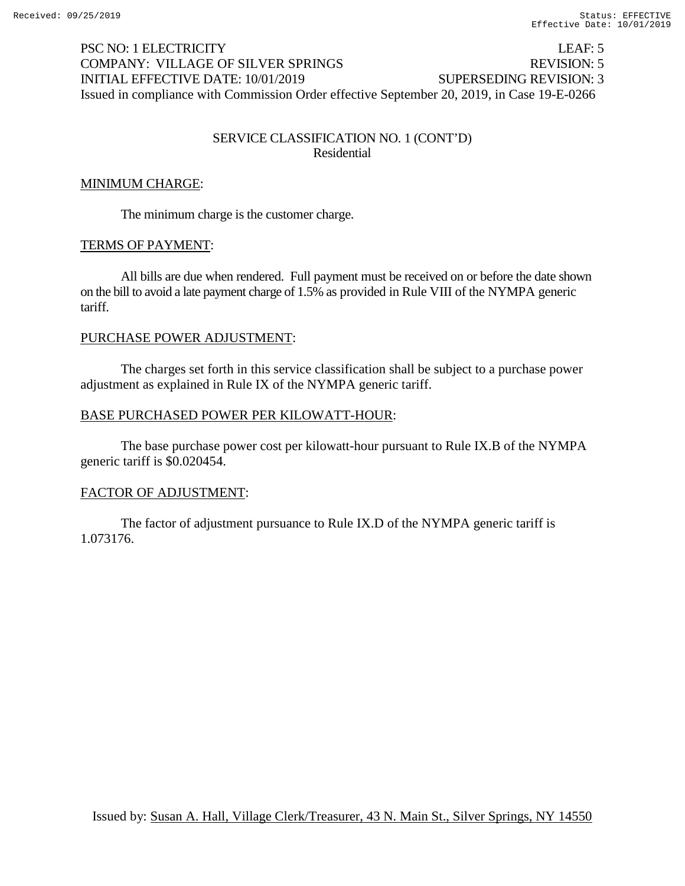# PSC NO: 1 ELECTRICITY LEAF: 5 COMPANY: VILLAGE OF SILVER SPRINGS REVISION: 5 INITIAL EFFECTIVE DATE: 10/01/2019 SUPERSEDING REVISION: 3 Issued in compliance with Commission Order effective September 20, 2019, in Case 19-E-0266

## SERVICE CLASSIFICATION NO. 1 (CONT'D) Residential

# MINIMUM CHARGE:

The minimum charge is the customer charge.

#### TERMS OF PAYMENT:

All bills are due when rendered. Full payment must be received on or before the date shown on the bill to avoid a late payment charge of 1.5% as provided in Rule VIII of the NYMPA generic tariff.

#### PURCHASE POWER ADJUSTMENT:

The charges set forth in this service classification shall be subject to a purchase power adjustment as explained in Rule IX of the NYMPA generic tariff.

#### BASE PURCHASED POWER PER KILOWATT-HOUR:

The base purchase power cost per kilowatt-hour pursuant to Rule IX.B of the NYMPA generic tariff is \$0.020454.

#### FACTOR OF ADJUSTMENT:

The factor of adjustment pursuance to Rule IX.D of the NYMPA generic tariff is 1.073176.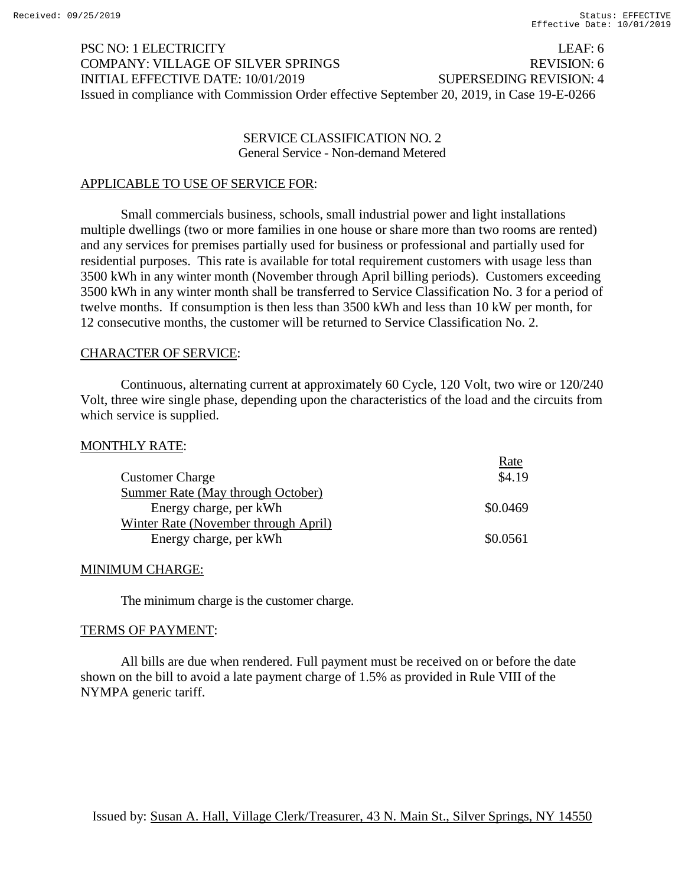# PSC NO: 1 ELECTRICITY LEAF: 6 COMPANY: VILLAGE OF SILVER SPRINGS REVISION: 6 INITIAL EFFECTIVE DATE: 10/01/2019 SUPERSEDING REVISION: 4 Issued in compliance with Commission Order effective September 20, 2019, in Case 19-E-0266

### SERVICE CLASSIFICATION NO. 2 General Service - Non-demand Metered

#### APPLICABLE TO USE OF SERVICE FOR:

Small commercials business, schools, small industrial power and light installations multiple dwellings (two or more families in one house or share more than two rooms are rented) and any services for premises partially used for business or professional and partially used for residential purposes. This rate is available for total requirement customers with usage less than 3500 kWh in any winter month (November through April billing periods). Customers exceeding 3500 kWh in any winter month shall be transferred to Service Classification No. 3 for a period of twelve months. If consumption is then less than 3500 kWh and less than 10 kW per month, for 12 consecutive months, the customer will be returned to Service Classification No. 2.

#### CHARACTER OF SERVICE:

Continuous, alternating current at approximately 60 Cycle, 120 Volt, two wire or 120/240 Volt, three wire single phase, depending upon the characteristics of the load and the circuits from which service is supplied.

#### MONTHLY RATE:

|                                      | Rate     |
|--------------------------------------|----------|
| <b>Customer Charge</b>               | \$4.19   |
| Summer Rate (May through October)    |          |
| Energy charge, per kWh               | \$0.0469 |
| Winter Rate (November through April) |          |
| Energy charge, per kWh               | \$0.0561 |

#### MINIMUM CHARGE:

The minimum charge is the customer charge.

#### TERMS OF PAYMENT:

All bills are due when rendered. Full payment must be received on or before the date shown on the bill to avoid a late payment charge of 1.5% as provided in Rule VIII of the NYMPA generic tariff.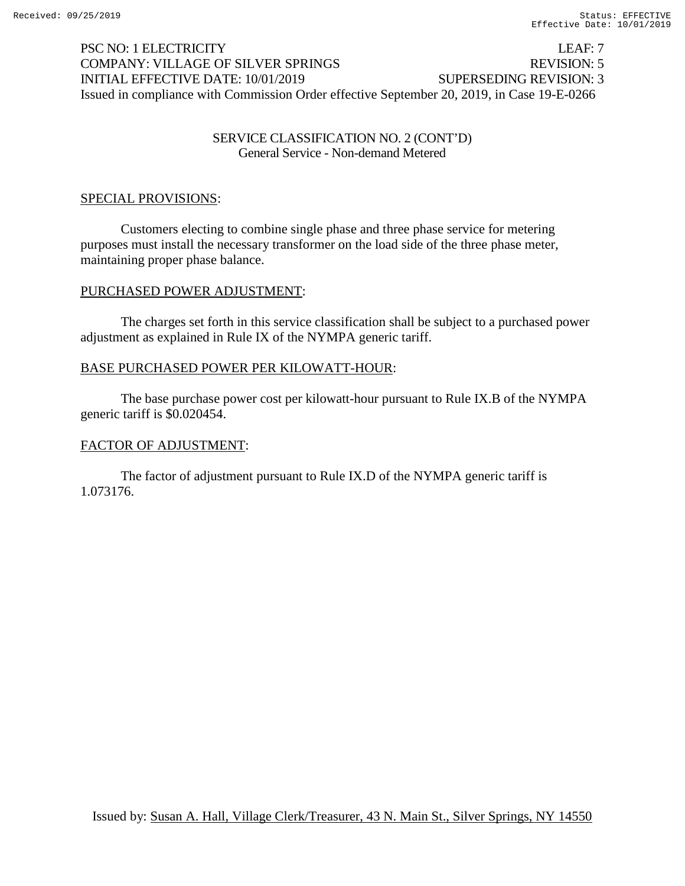# PSC NO: 1 ELECTRICITY LEAF: 7 COMPANY: VILLAGE OF SILVER SPRINGS REVISION: 5 INITIAL EFFECTIVE DATE: 10/01/2019 SUPERSEDING REVISION: 3 Issued in compliance with Commission Order effective September 20, 2019, in Case 19-E-0266

## SERVICE CLASSIFICATION NO. 2 (CONT'D) General Service - Non-demand Metered

## SPECIAL PROVISIONS:

Customers electing to combine single phase and three phase service for metering purposes must install the necessary transformer on the load side of the three phase meter, maintaining proper phase balance.

#### PURCHASED POWER ADJUSTMENT:

The charges set forth in this service classification shall be subject to a purchased power adjustment as explained in Rule IX of the NYMPA generic tariff.

#### BASE PURCHASED POWER PER KILOWATT-HOUR:

The base purchase power cost per kilowatt-hour pursuant to Rule IX.B of the NYMPA generic tariff is \$0.020454.

#### FACTOR OF ADJUSTMENT:

The factor of adjustment pursuant to Rule IX.D of the NYMPA generic tariff is 1.073176.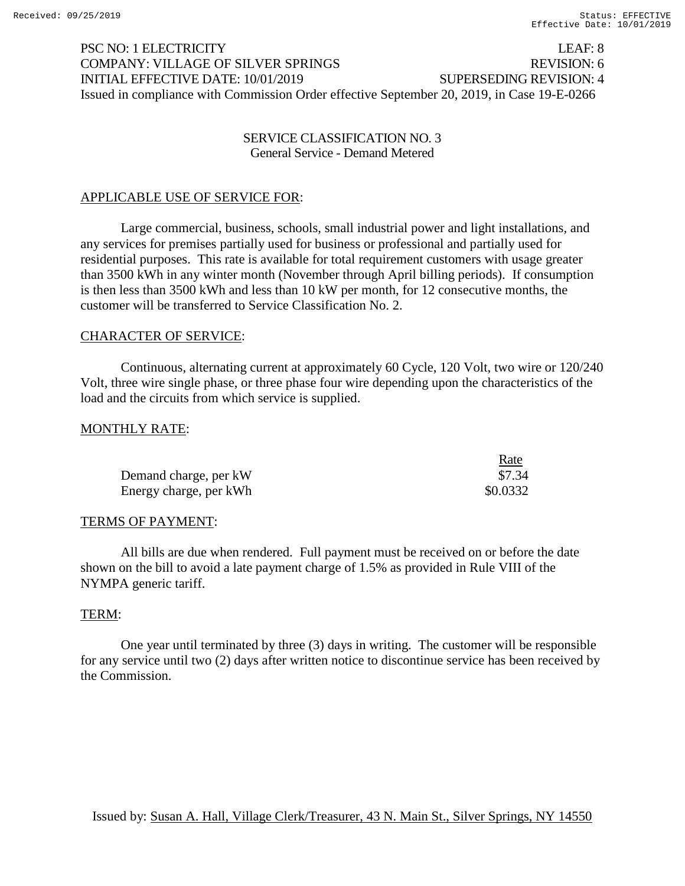# PSC NO: 1 ELECTRICITY LEAF: 8 COMPANY: VILLAGE OF SILVER SPRINGS REVISION: 6 INITIAL EFFECTIVE DATE: 10/01/2019 SUPERSEDING REVISION: 4 Issued in compliance with Commission Order effective September 20, 2019, in Case 19-E-0266

## SERVICE CLASSIFICATION NO. 3 General Service - Demand Metered

# APPLICABLE USE OF SERVICE FOR:

Large commercial, business, schools, small industrial power and light installations, and any services for premises partially used for business or professional and partially used for residential purposes. This rate is available for total requirement customers with usage greater than 3500 kWh in any winter month (November through April billing periods). If consumption is then less than 3500 kWh and less than 10 kW per month, for 12 consecutive months, the customer will be transferred to Service Classification No. 2.

#### CHARACTER OF SERVICE:

Continuous, alternating current at approximately 60 Cycle, 120 Volt, two wire or 120/240 Volt, three wire single phase, or three phase four wire depending upon the characteristics of the load and the circuits from which service is supplied.

#### MONTHLY RATE:

|                        | Rate     |
|------------------------|----------|
| Demand charge, per kW  | \$7.34   |
| Energy charge, per kWh | \$0.0332 |

#### TERMS OF PAYMENT:

All bills are due when rendered. Full payment must be received on or before the date shown on the bill to avoid a late payment charge of 1.5% as provided in Rule VIII of the NYMPA generic tariff.

#### TERM:

One year until terminated by three (3) days in writing. The customer will be responsible for any service until two (2) days after written notice to discontinue service has been received by the Commission.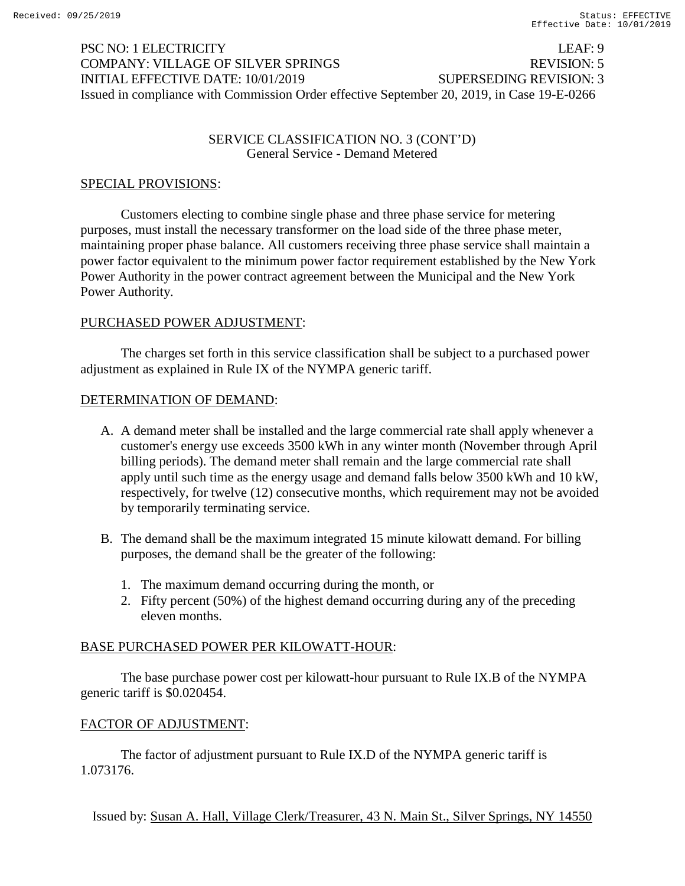# PSC NO: 1 ELECTRICITY LEAF: 9 COMPANY: VILLAGE OF SILVER SPRINGS REVISION: 5 INITIAL EFFECTIVE DATE: 10/01/2019 SUPERSEDING REVISION: 3 Issued in compliance with Commission Order effective September 20, 2019, in Case 19-E-0266

## SERVICE CLASSIFICATION NO. 3 (CONT'D) General Service - Demand Metered

## SPECIAL PROVISIONS:

Customers electing to combine single phase and three phase service for metering purposes, must install the necessary transformer on the load side of the three phase meter, maintaining proper phase balance. All customers receiving three phase service shall maintain a power factor equivalent to the minimum power factor requirement established by the New York Power Authority in the power contract agreement between the Municipal and the New York Power Authority.

#### PURCHASED POWER ADJUSTMENT:

The charges set forth in this service classification shall be subject to a purchased power adjustment as explained in Rule IX of the NYMPA generic tariff.

#### DETERMINATION OF DEMAND:

- A. A demand meter shall be installed and the large commercial rate shall apply whenever a customer's energy use exceeds 3500 kWh in any winter month (November through April billing periods). The demand meter shall remain and the large commercial rate shall apply until such time as the energy usage and demand falls below 3500 kWh and 10 kW, respectively, for twelve (12) consecutive months, which requirement may not be avoided by temporarily terminating service.
- B. The demand shall be the maximum integrated 15 minute kilowatt demand. For billing purposes, the demand shall be the greater of the following:
	- 1. The maximum demand occurring during the month, or
	- 2. Fifty percent (50%) of the highest demand occurring during any of the preceding eleven months.

#### BASE PURCHASED POWER PER KILOWATT-HOUR:

The base purchase power cost per kilowatt-hour pursuant to Rule IX.B of the NYMPA generic tariff is \$0.020454.

#### FACTOR OF ADJUSTMENT:

The factor of adjustment pursuant to Rule IX.D of the NYMPA generic tariff is 1.073176.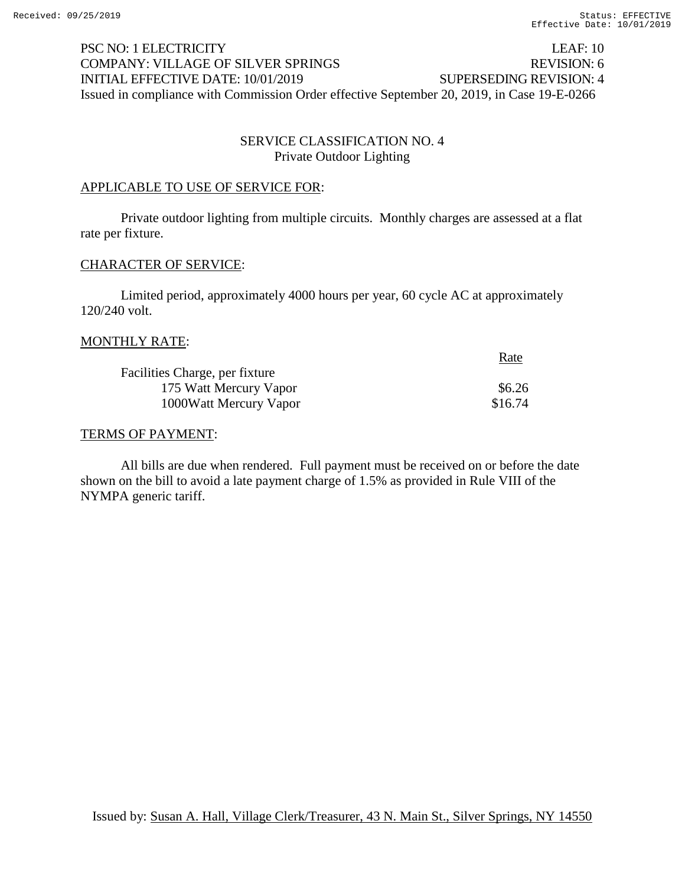# PSC NO: 1 ELECTRICITY LEAF: 10 COMPANY: VILLAGE OF SILVER SPRINGS REVISION: 6 INITIAL EFFECTIVE DATE: 10/01/2019 SUPERSEDING REVISION: 4 Issued in compliance with Commission Order effective September 20, 2019, in Case 19-E-0266

# SERVICE CLASSIFICATION NO. 4 Private Outdoor Lighting

## APPLICABLE TO USE OF SERVICE FOR:

Private outdoor lighting from multiple circuits. Monthly charges are assessed at a flat rate per fixture.

#### CHARACTER OF SERVICE:

Limited period, approximately 4000 hours per year, 60 cycle AC at approximately 120/240 volt.

#### MONTHLY RATE:

|                                | Rate    |
|--------------------------------|---------|
| Facilities Charge, per fixture |         |
| 175 Watt Mercury Vapor         | \$6.26  |
| 1000 Watt Mercury Vapor        | \$16.74 |

#### TERMS OF PAYMENT:

All bills are due when rendered. Full payment must be received on or before the date shown on the bill to avoid a late payment charge of 1.5% as provided in Rule VIII of the NYMPA generic tariff.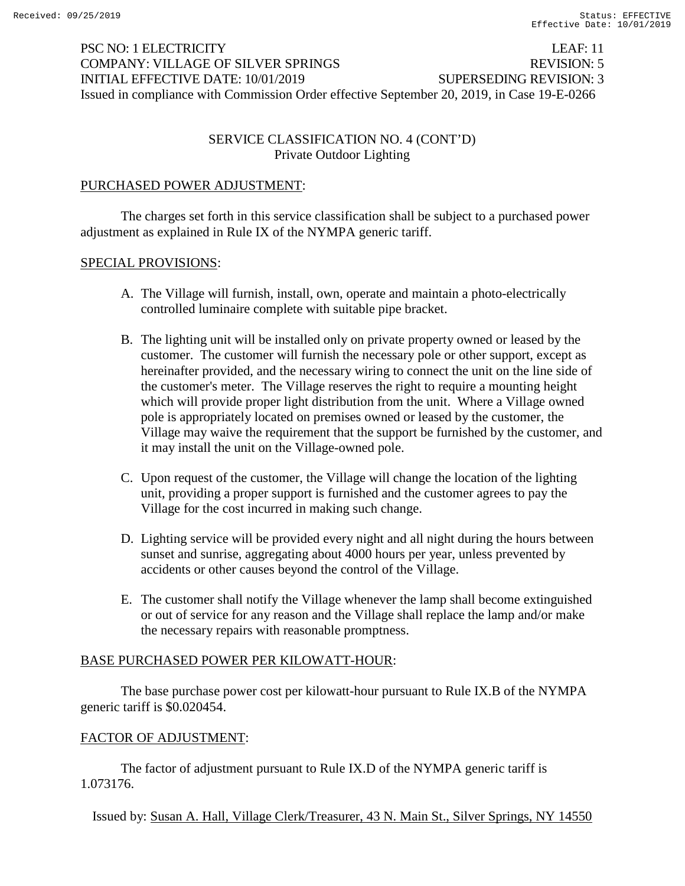# PSC NO: 1 ELECTRICITY LEAF: 11 COMPANY: VILLAGE OF SILVER SPRINGS REVISION: 5 INITIAL EFFECTIVE DATE: 10/01/2019 SUPERSEDING REVISION: 3 Issued in compliance with Commission Order effective September 20, 2019, in Case 19-E-0266

# SERVICE CLASSIFICATION NO. 4 (CONT'D) Private Outdoor Lighting

# PURCHASED POWER ADJUSTMENT:

The charges set forth in this service classification shall be subject to a purchased power adjustment as explained in Rule IX of the NYMPA generic tariff.

#### SPECIAL PROVISIONS:

- A. The Village will furnish, install, own, operate and maintain a photo-electrically controlled luminaire complete with suitable pipe bracket.
- B. The lighting unit will be installed only on private property owned or leased by the customer. The customer will furnish the necessary pole or other support, except as hereinafter provided, and the necessary wiring to connect the unit on the line side of the customer's meter. The Village reserves the right to require a mounting height which will provide proper light distribution from the unit. Where a Village owned pole is appropriately located on premises owned or leased by the customer, the Village may waive the requirement that the support be furnished by the customer, and it may install the unit on the Village-owned pole.
- C. Upon request of the customer, the Village will change the location of the lighting unit, providing a proper support is furnished and the customer agrees to pay the Village for the cost incurred in making such change.
- D. Lighting service will be provided every night and all night during the hours between sunset and sunrise, aggregating about 4000 hours per year, unless prevented by accidents or other causes beyond the control of the Village.
- E. The customer shall notify the Village whenever the lamp shall become extinguished or out of service for any reason and the Village shall replace the lamp and/or make the necessary repairs with reasonable promptness.

#### BASE PURCHASED POWER PER KILOWATT-HOUR:

The base purchase power cost per kilowatt-hour pursuant to Rule IX.B of the NYMPA generic tariff is \$0.020454.

#### FACTOR OF ADJUSTMENT:

The factor of adjustment pursuant to Rule IX.D of the NYMPA generic tariff is 1.073176.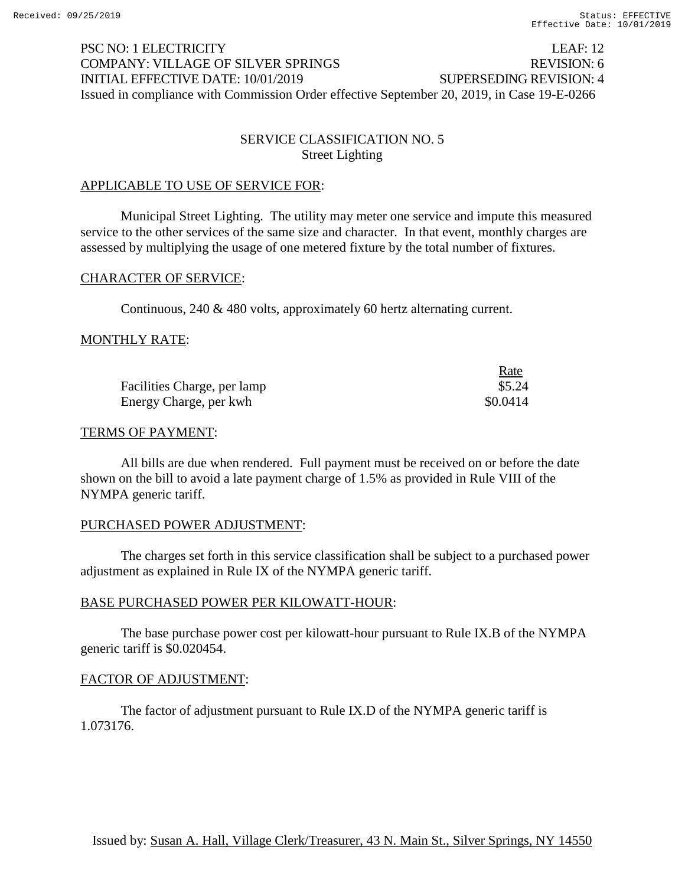# PSC NO: 1 ELECTRICITY LEAF: 12 COMPANY: VILLAGE OF SILVER SPRINGS REVISION: 6 INITIAL EFFECTIVE DATE: 10/01/2019 SUPERSEDING REVISION: 4 Issued in compliance with Commission Order effective September 20, 2019, in Case 19-E-0266

# SERVICE CLASSIFICATION NO. 5 Street Lighting

## APPLICABLE TO USE OF SERVICE FOR:

Municipal Street Lighting. The utility may meter one service and impute this measured service to the other services of the same size and character. In that event, monthly charges are assessed by multiplying the usage of one metered fixture by the total number of fixtures.

#### CHARACTER OF SERVICE:

Continuous, 240 & 480 volts, approximately 60 hertz alternating current.

#### MONTHLY RATE:

|                             | Rate     |
|-----------------------------|----------|
| Facilities Charge, per lamp | \$5.24   |
| Energy Charge, per kwh      | \$0.0414 |

#### TERMS OF PAYMENT:

All bills are due when rendered. Full payment must be received on or before the date shown on the bill to avoid a late payment charge of 1.5% as provided in Rule VIII of the NYMPA generic tariff.

#### PURCHASED POWER ADJUSTMENT:

The charges set forth in this service classification shall be subject to a purchased power adjustment as explained in Rule IX of the NYMPA generic tariff.

#### BASE PURCHASED POWER PER KILOWATT-HOUR:

The base purchase power cost per kilowatt-hour pursuant to Rule IX.B of the NYMPA generic tariff is \$0.020454.

#### FACTOR OF ADJUSTMENT:

The factor of adjustment pursuant to Rule IX.D of the NYMPA generic tariff is 1.073176.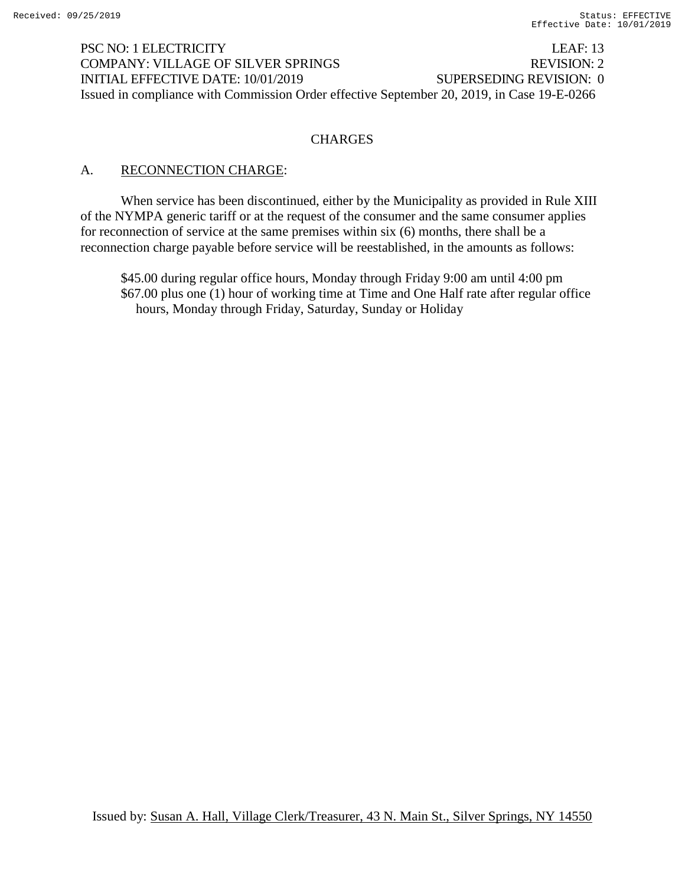PSC NO: 1 ELECTRICITY LEAF: 13 COMPANY: VILLAGE OF SILVER SPRINGS REVISION: 2 INITIAL EFFECTIVE DATE: 10/01/2019 SUPERSEDING REVISION: 0 Issued in compliance with Commission Order effective September 20, 2019, in Case 19-E-0266

## **CHARGES**

## A. RECONNECTION CHARGE:

When service has been discontinued, either by the Municipality as provided in Rule XIII of the NYMPA generic tariff or at the request of the consumer and the same consumer applies for reconnection of service at the same premises within six (6) months, there shall be a reconnection charge payable before service will be reestablished, in the amounts as follows:

\$45.00 during regular office hours, Monday through Friday 9:00 am until 4:00 pm \$67.00 plus one (1) hour of working time at Time and One Half rate after regular office hours, Monday through Friday, Saturday, Sunday or Holiday